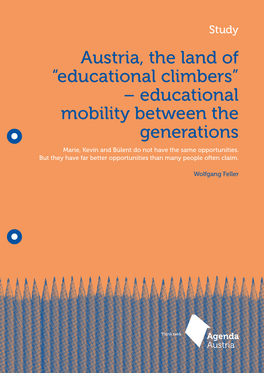# Study

# Austria, the land of "educational climbers" – educational mobility between the generations

Marie, Kevin and Bülent do not have the same opportunities. But they have far better opportunities than many people often claim.

Wolfgang Feller



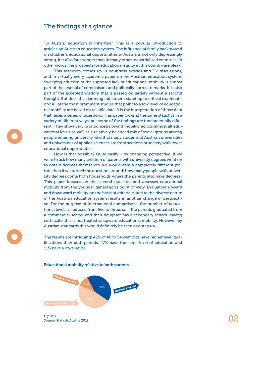## The findings at a glance

"In Austria, education is inherited." This is a popular introduction to articles on Austria's education system. The influence of family background on children's educational opportunities in Austria is not only depressingly strong, it is also far stronger than in many other industrialised countries. In other words, the prospects for educational equity in this country are bleak.

This assertion comes up in countless articles and TV discussions, and in virtually every academic paper on the Austrian education system. Sweeping criticism of the supposed lack of educational mobility is almost part of the arsenal of complaisant and politically correct remarks. It is also part of the accepted wisdom that is passed on largely without a second thought. But does this damning indictment stand up to critical examination? All of the most prominent studies that point to a low level of educational mobility are based on reliable data. It is the interpretation of those data that raises a series of questions. This paper looks at the same statistics in a variety of different ways, but some of the findings are fundamentally different. They show very pronounced upward mobility across almost all educational levels as well as a relatively balanced mix of social groups among people entering university, and that many students at Austrian universities and universities of applied sciences are from sections of society with lower educational opportunities.

How is that possible? Quite easily – by changing perspective. If we were to ask how many children of parents with university degrees went on to obtain degrees themselves, we would gain a completely different picture than if we turned the question around: how many people with university degrees come from households where the parents also have degrees? This paper focuses on the second question and assesses educational mobility from the younger generation's point of view. Evaluating upward and downward mobility on the basis of criteria suited to the diverse nature of the Austrian education system results in another change of perspective. For the purpose of international comparisons, the number of educational levels is reduced from five to three, so if the parents graduated from a commercial school and their daughter has a secondary school leaving certificate, this is not treated as upward educational mobility. However, by Austrian standards this would definitely be seen as a step up.

The results are intriguing: 42% of 45 to 54 year olds have higher level qualifications than both parents, 47% have the same level of education and 11% have a lower level.



Educational mobility relative to both parents

Figure 1 Source: Statistik Austria 2012.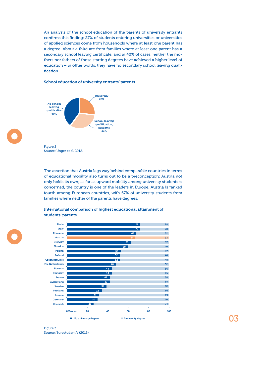An analysis of the school education of the parents of university entrants confirms this finding: 27% of students entering universities or universities of applied sciences come from households where at least one parent has a degree. About a third are from families where at least one parent has a secondary school leaving certificate, and in 40% of cases, neither the mothers nor fathers of those starting degrees have achieved a higher level of education – in other words, they have no secondary school leaving qualification.

#### School education of university entrants' parents



The assertion that Austria lags way behind comparable countries in terms of educational mobility also turns out to be a preconception: Austria not only holds its own; as far as upward mobility among university students is concerned, the country is one of the leaders in Europe. Austria is ranked fourth among European countries, with 67% of university students from families where neither of the parents have degrees.



### International comparison of highest educational attainment of students' parents

Figure 3 Source: Eurostudent V (2015). 03